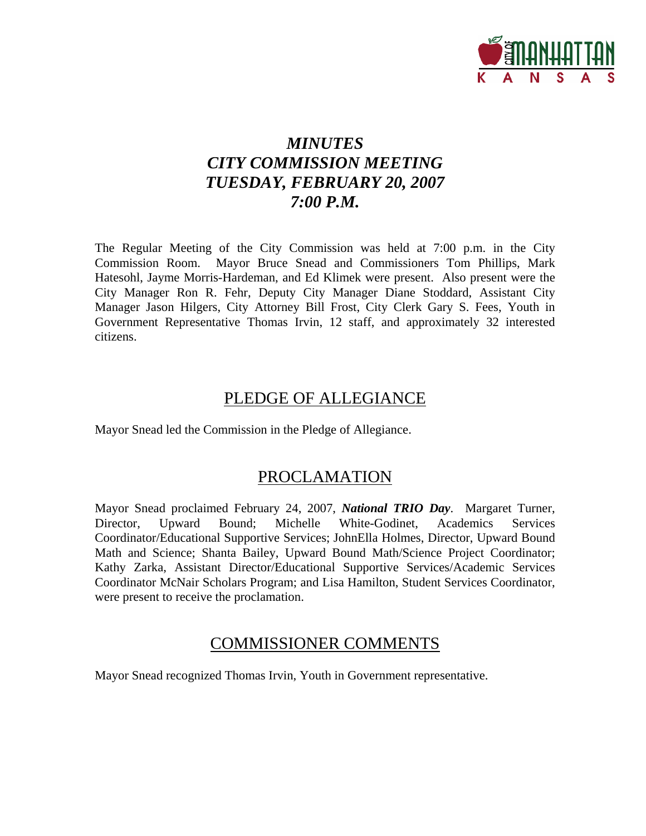

# *MINUTES CITY COMMISSION MEETING TUESDAY, FEBRUARY 20, 2007 7:00 P.M.*

The Regular Meeting of the City Commission was held at 7:00 p.m. in the City Commission Room. Mayor Bruce Snead and Commissioners Tom Phillips, Mark Hatesohl, Jayme Morris-Hardeman, and Ed Klimek were present. Also present were the City Manager Ron R. Fehr, Deputy City Manager Diane Stoddard, Assistant City Manager Jason Hilgers, City Attorney Bill Frost, City Clerk Gary S. Fees, Youth in Government Representative Thomas Irvin, 12 staff, and approximately 32 interested citizens.

# PLEDGE OF ALLEGIANCE

Mayor Snead led the Commission in the Pledge of Allegiance.

# PROCLAMATION

Mayor Snead proclaimed February 24, 2007, *National TRIO Day*. Margaret Turner, Director, Upward Bound; Michelle White-Godinet, Academics Services Coordinator/Educational Supportive Services; JohnElla Holmes, Director, Upward Bound Math and Science; Shanta Bailey, Upward Bound Math/Science Project Coordinator; Kathy Zarka, Assistant Director/Educational Supportive Services/Academic Services Coordinator McNair Scholars Program; and Lisa Hamilton, Student Services Coordinator, were present to receive the proclamation.

# COMMISSIONER COMMENTS

Mayor Snead recognized Thomas Irvin, Youth in Government representative.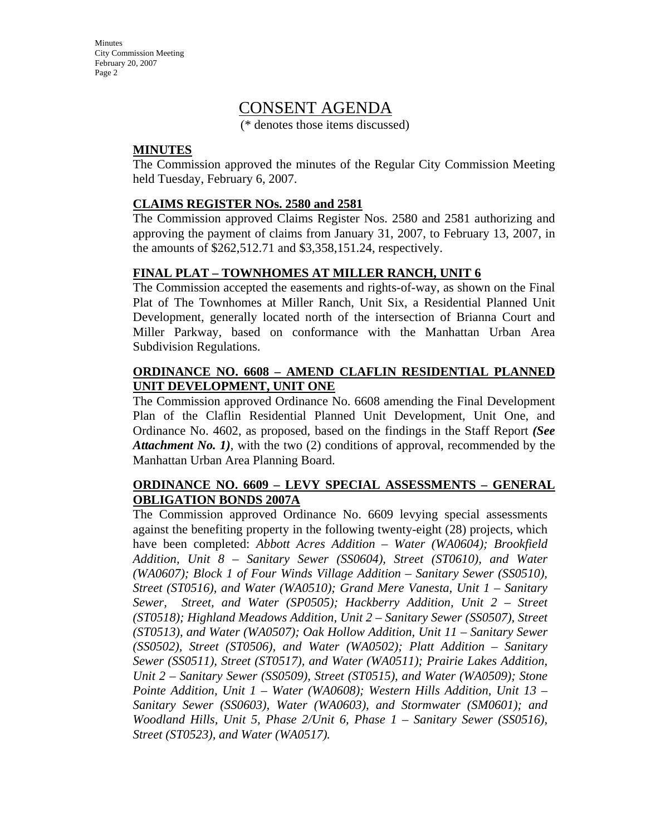Minutes City Commission Meeting February 20, 2007 Page 2

# CONSENT AGENDA

(\* denotes those items discussed)

### **MINUTES**

The Commission approved the minutes of the Regular City Commission Meeting held Tuesday, February 6, 2007.

### **CLAIMS REGISTER NOs. 2580 and 2581**

The Commission approved Claims Register Nos. 2580 and 2581 authorizing and approving the payment of claims from January 31, 2007, to February 13, 2007, in the amounts of \$262,512.71 and \$3,358,151.24, respectively.

### **FINAL PLAT – TOWNHOMES AT MILLER RANCH, UNIT 6**

The Commission accepted the easements and rights-of-way, as shown on the Final Plat of The Townhomes at Miller Ranch, Unit Six, a Residential Planned Unit Development, generally located north of the intersection of Brianna Court and Miller Parkway, based on conformance with the Manhattan Urban Area Subdivision Regulations.

### **ORDINANCE NO. 6608 – AMEND CLAFLIN RESIDENTIAL PLANNED UNIT DEVELOPMENT, UNIT ONE**

The Commission approved Ordinance No. 6608 amending the Final Development Plan of the Claflin Residential Planned Unit Development, Unit One, and Ordinance No. 4602, as proposed, based on the findings in the Staff Report *(See Attachment No. 1)*, with the two (2) conditions of approval, recommended by the Manhattan Urban Area Planning Board.

### **ORDINANCE NO. 6609 – LEVY SPECIAL ASSESSMENTS – GENERAL OBLIGATION BONDS 2007A**

The Commission approved Ordinance No. 6609 levying special assessments against the benefiting property in the following twenty-eight (28) projects, which have been completed: *Abbott Acres Addition – Water (WA0604); Brookfield Addition, Unit 8 – Sanitary Sewer (SS0604), Street (ST0610), and Water (WA0607); Block 1 of Four Winds Village Addition – Sanitary Sewer (SS0510), Street (ST0516), and Water (WA0510); Grand Mere Vanesta, Unit 1 – Sanitary Sewer, Street, and Water (SP0505); Hackberry Addition, Unit 2 – Street (ST0518); Highland Meadows Addition, Unit 2 – Sanitary Sewer (SS0507), Street (ST0513), and Water (WA0507); Oak Hollow Addition, Unit 11 – Sanitary Sewer (SS0502), Street (ST0506), and Water (WA0502); Platt Addition – Sanitary Sewer (SS0511), Street (ST0517), and Water (WA0511); Prairie Lakes Addition, Unit 2 – Sanitary Sewer (SS0509), Street (ST0515), and Water (WA0509); Stone Pointe Addition, Unit 1 – Water (WA0608); Western Hills Addition, Unit 13 – Sanitary Sewer (SS0603), Water (WA0603), and Stormwater (SM0601); and Woodland Hills, Unit 5, Phase 2/Unit 6, Phase 1 – Sanitary Sewer (SS0516), Street (ST0523), and Water (WA0517).*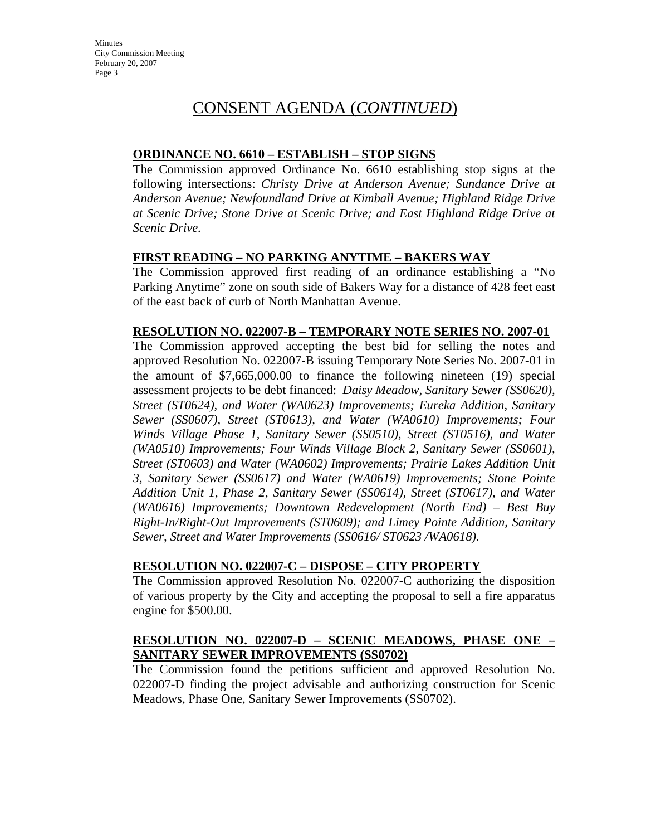Minutes City Commission Meeting February 20, 2007 Page 3

# CONSENT AGENDA (*CONTINUED*)

### **ORDINANCE NO. 6610 – ESTABLISH – STOP SIGNS**

The Commission approved Ordinance No. 6610 establishing stop signs at the following intersections: *Christy Drive at Anderson Avenue; Sundance Drive at Anderson Avenue; Newfoundland Drive at Kimball Avenue; Highland Ridge Drive at Scenic Drive; Stone Drive at Scenic Drive; and East Highland Ridge Drive at Scenic Drive.* 

### **FIRST READING – NO PARKING ANYTIME – BAKERS WAY**

The Commission approved first reading of an ordinance establishing a "No Parking Anytime" zone on south side of Bakers Way for a distance of 428 feet east of the east back of curb of North Manhattan Avenue.

#### **RESOLUTION NO. 022007-B – TEMPORARY NOTE SERIES NO. 2007-01**

The Commission approved accepting the best bid for selling the notes and approved Resolution No. 022007-B issuing Temporary Note Series No. 2007-01 in the amount of \$7,665,000.00 to finance the following nineteen (19) special assessment projects to be debt financed: *Daisy Meadow, Sanitary Sewer (SS0620), Street (ST0624), and Water (WA0623) Improvements; Eureka Addition, Sanitary Sewer (SS0607), Street (ST0613), and Water (WA0610) Improvements; Four Winds Village Phase 1, Sanitary Sewer (SS0510), Street (ST0516), and Water (WA0510) Improvements; Four Winds Village Block 2, Sanitary Sewer (SS0601), Street (ST0603) and Water (WA0602) Improvements; Prairie Lakes Addition Unit 3, Sanitary Sewer (SS0617) and Water (WA0619) Improvements; Stone Pointe Addition Unit 1, Phase 2, Sanitary Sewer (SS0614), Street (ST0617), and Water (WA0616) Improvements; Downtown Redevelopment (North End) – Best Buy Right-In/Right-Out Improvements (ST0609); and Limey Pointe Addition, Sanitary Sewer, Street and Water Improvements (SS0616/ ST0623 /WA0618).* 

#### **RESOLUTION NO. 022007-C – DISPOSE – CITY PROPERTY**

The Commission approved Resolution No. 022007-C authorizing the disposition of various property by the City and accepting the proposal to sell a fire apparatus engine for \$500.00.

### **RESOLUTION NO. 022007-D – SCENIC MEADOWS, PHASE ONE – SANITARY SEWER IMPROVEMENTS (SS0702)**

The Commission found the petitions sufficient and approved Resolution No. 022007-D finding the project advisable and authorizing construction for Scenic Meadows, Phase One, Sanitary Sewer Improvements (SS0702).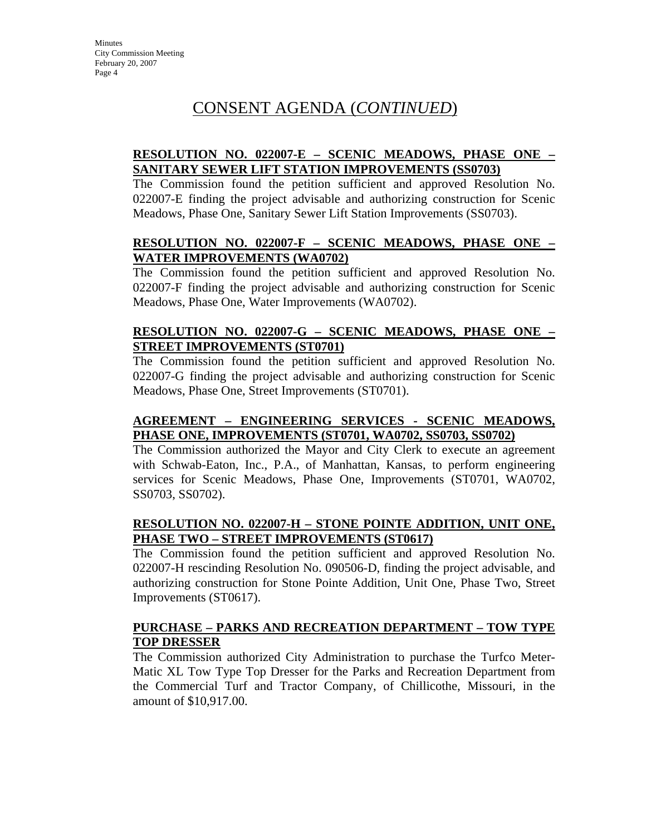# CONSENT AGENDA (*CONTINUED*)

### **RESOLUTION NO. 022007-E – SCENIC MEADOWS, PHASE ONE – SANITARY SEWER LIFT STATION IMPROVEMENTS (SS0703)**

The Commission found the petition sufficient and approved Resolution No. 022007-E finding the project advisable and authorizing construction for Scenic Meadows, Phase One, Sanitary Sewer Lift Station Improvements (SS0703).

### **RESOLUTION NO. 022007-F – SCENIC MEADOWS, PHASE ONE – WATER IMPROVEMENTS (WA0702)**

The Commission found the petition sufficient and approved Resolution No. 022007-F finding the project advisable and authorizing construction for Scenic Meadows, Phase One, Water Improvements (WA0702).

### **RESOLUTION NO. 022007-G – SCENIC MEADOWS, PHASE ONE – STREET IMPROVEMENTS (ST0701)**

The Commission found the petition sufficient and approved Resolution No. 022007-G finding the project advisable and authorizing construction for Scenic Meadows, Phase One, Street Improvements (ST0701).

### **AGREEMENT – ENGINEERING SERVICES - SCENIC MEADOWS, PHASE ONE, IMPROVEMENTS (ST0701, WA0702, SS0703, SS0702)**

The Commission authorized the Mayor and City Clerk to execute an agreement with Schwab-Eaton, Inc., P.A., of Manhattan, Kansas, to perform engineering services for Scenic Meadows, Phase One, Improvements (ST0701, WA0702, SS0703, SS0702).

### **RESOLUTION NO. 022007-H – STONE POINTE ADDITION, UNIT ONE, PHASE TWO – STREET IMPROVEMENTS (ST0617)**

The Commission found the petition sufficient and approved Resolution No. 022007-H rescinding Resolution No. 090506-D, finding the project advisable, and authorizing construction for Stone Pointe Addition, Unit One, Phase Two, Street Improvements (ST0617).

### **PURCHASE – PARKS AND RECREATION DEPARTMENT – TOW TYPE TOP DRESSER**

The Commission authorized City Administration to purchase the Turfco Meter-Matic XL Tow Type Top Dresser for the Parks and Recreation Department from the Commercial Turf and Tractor Company, of Chillicothe, Missouri, in the amount of \$10,917.00.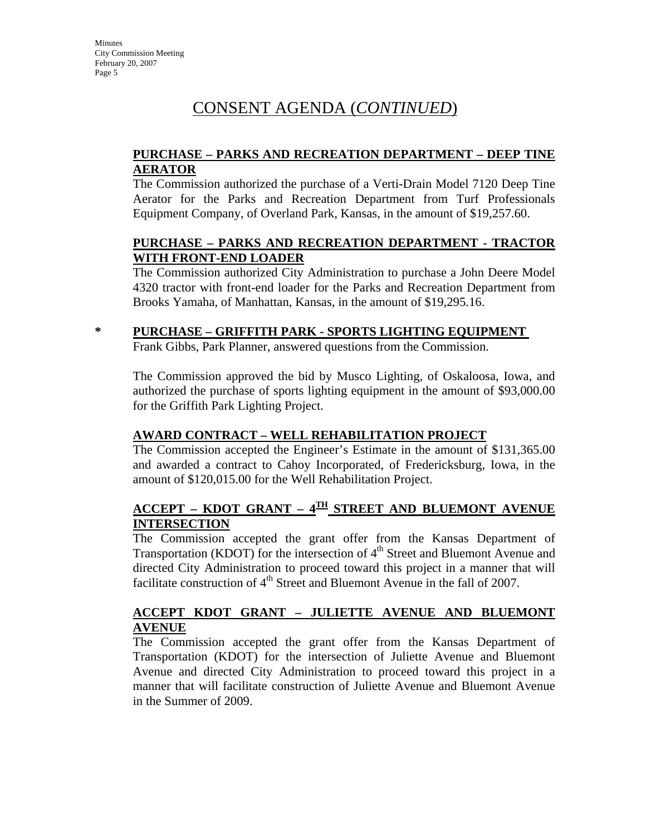**Minutes** City Commission Meeting February 20, 2007 Page 5

# CONSENT AGENDA (*CONTINUED*)

### **PURCHASE – PARKS AND RECREATION DEPARTMENT – DEEP TINE AERATOR**

The Commission authorized the purchase of a Verti-Drain Model 7120 Deep Tine Aerator for the Parks and Recreation Department from Turf Professionals Equipment Company, of Overland Park, Kansas, in the amount of \$19,257.60.

### **PURCHASE – PARKS AND RECREATION DEPARTMENT - TRACTOR WITH FRONT-END LOADER**

The Commission authorized City Administration to purchase a John Deere Model 4320 tractor with front-end loader for the Parks and Recreation Department from Brooks Yamaha, of Manhattan, Kansas, in the amount of \$19,295.16.

### **\* PURCHASE – GRIFFITH PARK - SPORTS LIGHTING EQUIPMENT**

Frank Gibbs, Park Planner, answered questions from the Commission.

The Commission approved the bid by Musco Lighting, of Oskaloosa, Iowa, and authorized the purchase of sports lighting equipment in the amount of \$93,000.00 for the Griffith Park Lighting Project.

### **AWARD CONTRACT – WELL REHABILITATION PROJECT**

The Commission accepted the Engineer's Estimate in the amount of \$131,365.00 and awarded a contract to Cahoy Incorporated, of Fredericksburg, Iowa, in the amount of \$120,015.00 for the Well Rehabilitation Project.

## **ACCEPT – KDOT GRANT – 4TH STREET AND BLUEMONT AVENUE INTERSECTION**

The Commission accepted the grant offer from the Kansas Department of Transportation (KDOT) for the intersection of  $4<sup>th</sup>$  Street and Bluemont Avenue and directed City Administration to proceed toward this project in a manner that will facilitate construction of  $4<sup>th</sup>$  Street and Bluemont Avenue in the fall of 2007.

## **ACCEPT KDOT GRANT – JULIETTE AVENUE AND BLUEMONT AVENUE**

The Commission accepted the grant offer from the Kansas Department of Transportation (KDOT) for the intersection of Juliette Avenue and Bluemont Avenue and directed City Administration to proceed toward this project in a manner that will facilitate construction of Juliette Avenue and Bluemont Avenue in the Summer of 2009.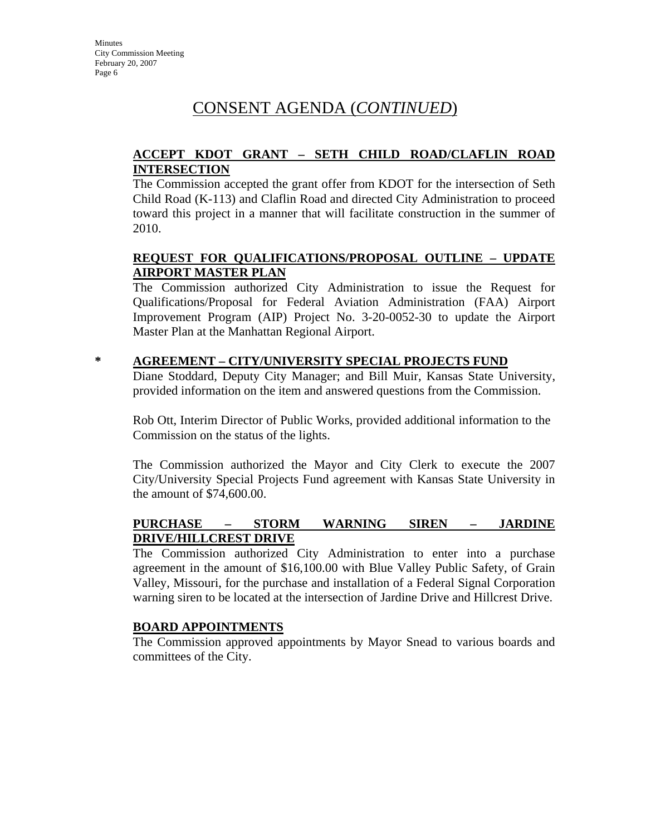# CONSENT AGENDA (*CONTINUED*)

### **ACCEPT KDOT GRANT – SETH CHILD ROAD/CLAFLIN ROAD INTERSECTION**

The Commission accepted the grant offer from KDOT for the intersection of Seth Child Road (K-113) and Claflin Road and directed City Administration to proceed toward this project in a manner that will facilitate construction in the summer of 2010.

### **REQUEST FOR QUALIFICATIONS/PROPOSAL OUTLINE – UPDATE AIRPORT MASTER PLAN**

The Commission authorized City Administration to issue the Request for Qualifications/Proposal for Federal Aviation Administration (FAA) Airport Improvement Program (AIP) Project No. 3-20-0052-30 to update the Airport Master Plan at the Manhattan Regional Airport.

### **\* AGREEMENT – CITY/UNIVERSITY SPECIAL PROJECTS FUND**

Diane Stoddard, Deputy City Manager; and Bill Muir, Kansas State University, provided information on the item and answered questions from the Commission.

Rob Ott, Interim Director of Public Works, provided additional information to the Commission on the status of the lights.

The Commission authorized the Mayor and City Clerk to execute the 2007 City/University Special Projects Fund agreement with Kansas State University in the amount of \$74,600.00.

### **PURCHASE – STORM WARNING SIREN – JARDINE DRIVE/HILLCREST DRIVE**

The Commission authorized City Administration to enter into a purchase agreement in the amount of \$16,100.00 with Blue Valley Public Safety, of Grain Valley, Missouri, for the purchase and installation of a Federal Signal Corporation warning siren to be located at the intersection of Jardine Drive and Hillcrest Drive.

### **BOARD APPOINTMENTS**

The Commission approved appointments by Mayor Snead to various boards and committees of the City.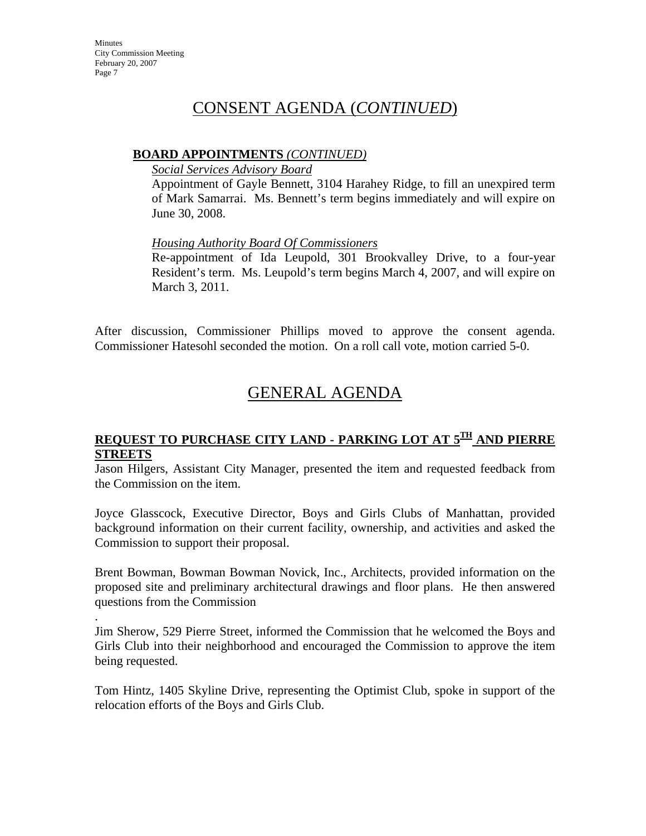.

# CONSENT AGENDA (*CONTINUED*)

### **BOARD APPOINTMENTS** *(CONTINUED)*

*Social Services Advisory Board*

Appointment of Gayle Bennett, 3104 Harahey Ridge, to fill an unexpired term of Mark Samarrai. Ms. Bennett's term begins immediately and will expire on June 30, 2008.

*Housing Authority Board Of Commissioners*

Re-appointment of Ida Leupold, 301 Brookvalley Drive, to a four-year Resident's term. Ms. Leupold's term begins March 4, 2007, and will expire on March 3, 2011.

After discussion, Commissioner Phillips moved to approve the consent agenda. Commissioner Hatesohl seconded the motion. On a roll call vote, motion carried 5-0.

# GENERAL AGENDA

### **REQUEST TO PURCHASE CITY LAND - PARKING LOT AT 5TH AND PIERRE STREETS**

Jason Hilgers, Assistant City Manager, presented the item and requested feedback from the Commission on the item.

Joyce Glasscock, Executive Director, Boys and Girls Clubs of Manhattan, provided background information on their current facility, ownership, and activities and asked the Commission to support their proposal.

Brent Bowman, Bowman Bowman Novick, Inc., Architects, provided information on the proposed site and preliminary architectural drawings and floor plans. He then answered questions from the Commission

Jim Sherow, 529 Pierre Street, informed the Commission that he welcomed the Boys and Girls Club into their neighborhood and encouraged the Commission to approve the item being requested.

Tom Hintz, 1405 Skyline Drive, representing the Optimist Club, spoke in support of the relocation efforts of the Boys and Girls Club.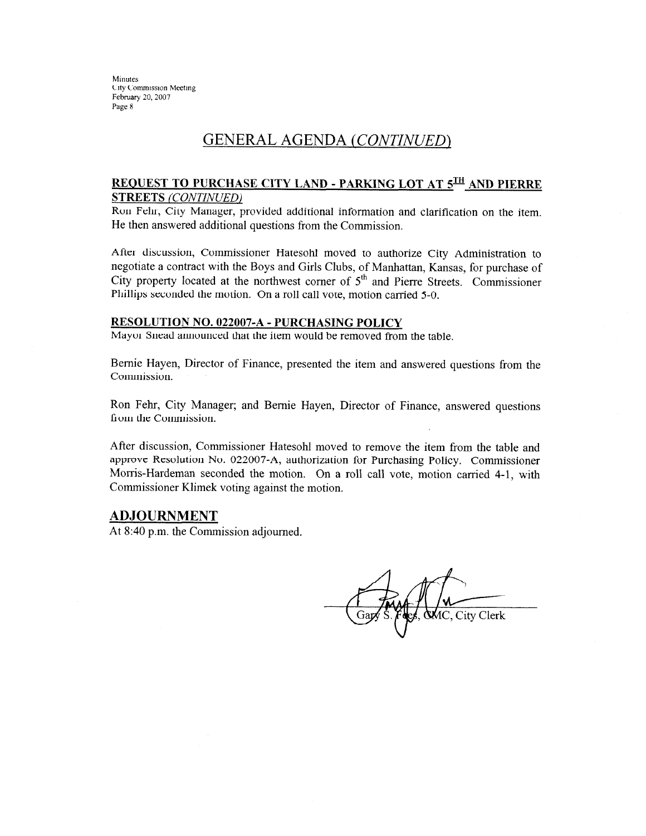Minutes City Commission Meeting February 20, 2007 Page 8

# **GENERAL AGENDA (CONTINUED)**

#### **REQUEST TO PURCHASE CITY LAND - PARKING LOT AT 5TH AND PIERRE STREETS (CONTINUED)**

Ron Fehr, City Manager, provided additional information and clarification on the item. He then answered additional questions from the Commission.

After discussion, Commissioner Hatesohl moved to authorize City Administration to negotiate a contract with the Boys and Girls Clubs, of Manhattan, Kansas, for purchase of City property located at the northwest corner of 5<sup>th</sup> and Pierre Streets. Commissioner Phillips seconded the motion. On a roll call vote, motion carried 5-0.

#### **RESOLUTION NO. 022007-A - PURCHASING POLICY**

Mayor Snead announced that the item would be removed from the table.

Bernie Hayen, Director of Finance, presented the item and answered questions from the Commission.

Ron Fehr, City Manager; and Bernie Hayen, Director of Finance, answered questions from the Commission.

After discussion, Commissioner Hatesohl moved to remove the item from the table and approve Resolution No. 022007-A, authorization for Purchasing Policy. Commissioner Morris-Hardeman seconded the motion. On a roll call vote, motion carried 4-1, with Commissioner Klimek voting against the motion.

#### <u>ADJOURNMENT</u>

At 8:40 p.m. the Commission adjourned.

MC, City Clerk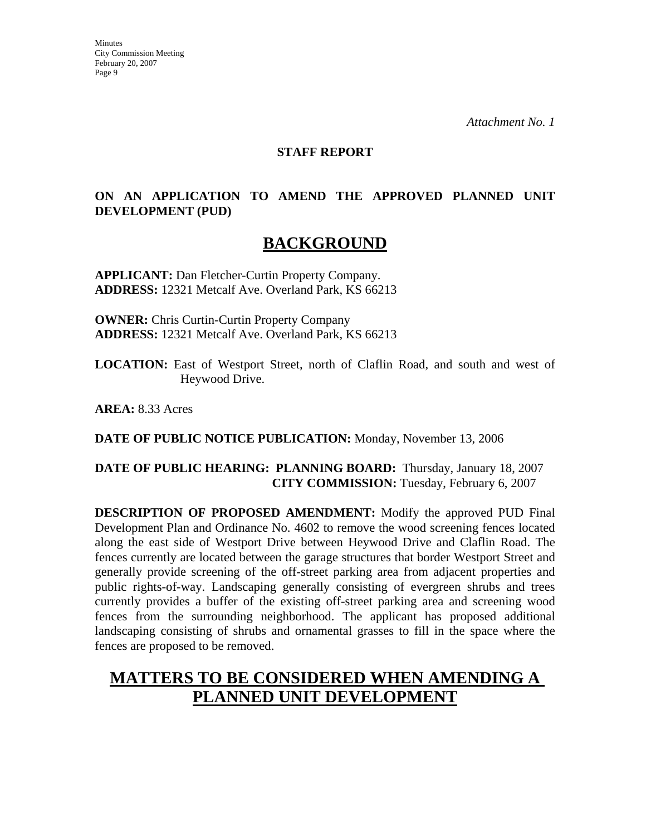**Minutes** City Commission Meeting February 20, 2007 Page 9

*Attachment No. 1* 

### **STAFF REPORT**

## **ON AN APPLICATION TO AMEND THE APPROVED PLANNED UNIT DEVELOPMENT (PUD)**

# **BACKGROUND**

**APPLICANT:** Dan Fletcher-Curtin Property Company. **ADDRESS:** 12321 Metcalf Ave. Overland Park, KS 66213

**OWNER:** Chris Curtin-Curtin Property Company **ADDRESS:** 12321 Metcalf Ave. Overland Park, KS 66213

**LOCATION:** East of Westport Street, north of Claflin Road, and south and west of Heywood Drive.

**AREA:** 8.33 Acres

**DATE OF PUBLIC NOTICE PUBLICATION:** Monday, November 13, 2006

### **DATE OF PUBLIC HEARING: PLANNING BOARD:** Thursday, January 18, 2007 **CITY COMMISSION:** Tuesday, February 6, 2007

**DESCRIPTION OF PROPOSED AMENDMENT:** Modify the approved PUD Final Development Plan and Ordinance No. 4602 to remove the wood screening fences located along the east side of Westport Drive between Heywood Drive and Claflin Road. The fences currently are located between the garage structures that border Westport Street and generally provide screening of the off-street parking area from adjacent properties and public rights-of-way. Landscaping generally consisting of evergreen shrubs and trees currently provides a buffer of the existing off-street parking area and screening wood fences from the surrounding neighborhood. The applicant has proposed additional landscaping consisting of shrubs and ornamental grasses to fill in the space where the fences are proposed to be removed.

# **MATTERS TO BE CONSIDERED WHEN AMENDING A PLANNED UNIT DEVELOPMENT**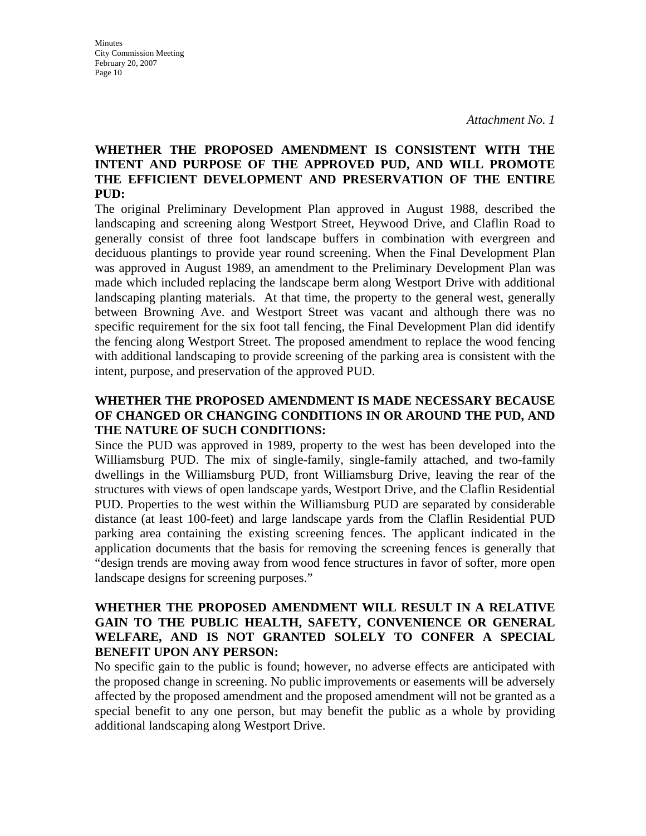### **WHETHER THE PROPOSED AMENDMENT IS CONSISTENT WITH THE INTENT AND PURPOSE OF THE APPROVED PUD, AND WILL PROMOTE THE EFFICIENT DEVELOPMENT AND PRESERVATION OF THE ENTIRE PUD:**

The original Preliminary Development Plan approved in August 1988, described the landscaping and screening along Westport Street, Heywood Drive, and Claflin Road to generally consist of three foot landscape buffers in combination with evergreen and deciduous plantings to provide year round screening. When the Final Development Plan was approved in August 1989, an amendment to the Preliminary Development Plan was made which included replacing the landscape berm along Westport Drive with additional landscaping planting materials. At that time, the property to the general west, generally between Browning Ave. and Westport Street was vacant and although there was no specific requirement for the six foot tall fencing, the Final Development Plan did identify the fencing along Westport Street. The proposed amendment to replace the wood fencing with additional landscaping to provide screening of the parking area is consistent with the intent, purpose, and preservation of the approved PUD.

### **WHETHER THE PROPOSED AMENDMENT IS MADE NECESSARY BECAUSE OF CHANGED OR CHANGING CONDITIONS IN OR AROUND THE PUD, AND THE NATURE OF SUCH CONDITIONS:**

Since the PUD was approved in 1989, property to the west has been developed into the Williamsburg PUD. The mix of single-family, single-family attached, and two-family dwellings in the Williamsburg PUD, front Williamsburg Drive, leaving the rear of the structures with views of open landscape yards, Westport Drive, and the Claflin Residential PUD. Properties to the west within the Williamsburg PUD are separated by considerable distance (at least 100-feet) and large landscape yards from the Claflin Residential PUD parking area containing the existing screening fences. The applicant indicated in the application documents that the basis for removing the screening fences is generally that "design trends are moving away from wood fence structures in favor of softer, more open landscape designs for screening purposes."

### **WHETHER THE PROPOSED AMENDMENT WILL RESULT IN A RELATIVE GAIN TO THE PUBLIC HEALTH, SAFETY, CONVENIENCE OR GENERAL WELFARE, AND IS NOT GRANTED SOLELY TO CONFER A SPECIAL BENEFIT UPON ANY PERSON:**

No specific gain to the public is found; however, no adverse effects are anticipated with the proposed change in screening. No public improvements or easements will be adversely affected by the proposed amendment and the proposed amendment will not be granted as a special benefit to any one person, but may benefit the public as a whole by providing additional landscaping along Westport Drive.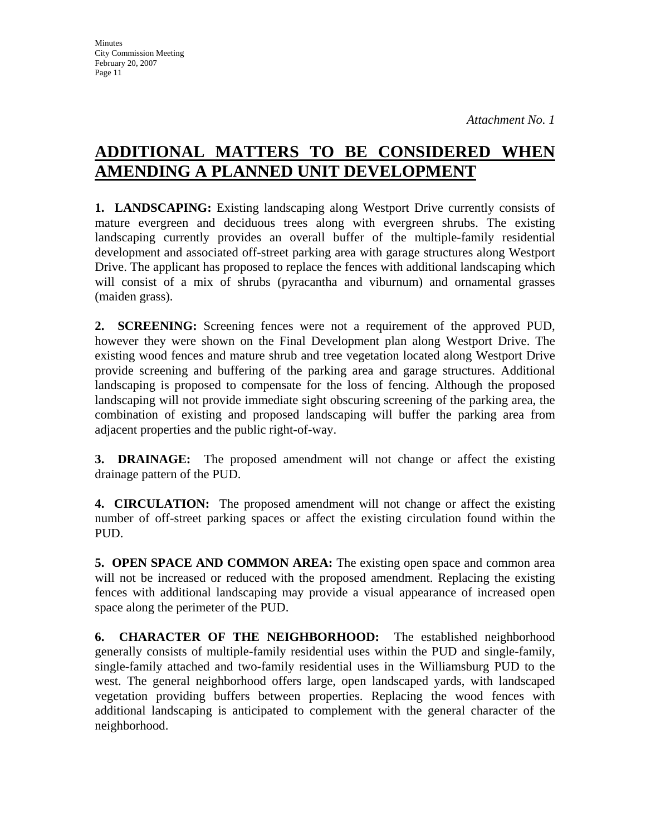# **ADDITIONAL MATTERS TO BE CONSIDERED WHEN AMENDING A PLANNED UNIT DEVELOPMENT**

**1. LANDSCAPING:** Existing landscaping along Westport Drive currently consists of mature evergreen and deciduous trees along with evergreen shrubs. The existing landscaping currently provides an overall buffer of the multiple-family residential development and associated off-street parking area with garage structures along Westport Drive. The applicant has proposed to replace the fences with additional landscaping which will consist of a mix of shrubs (pyracantha and viburnum) and ornamental grasses (maiden grass).

**2. SCREENING:** Screening fences were not a requirement of the approved PUD, however they were shown on the Final Development plan along Westport Drive. The existing wood fences and mature shrub and tree vegetation located along Westport Drive provide screening and buffering of the parking area and garage structures. Additional landscaping is proposed to compensate for the loss of fencing. Although the proposed landscaping will not provide immediate sight obscuring screening of the parking area, the combination of existing and proposed landscaping will buffer the parking area from adjacent properties and the public right-of-way.

**3. DRAINAGE:** The proposed amendment will not change or affect the existing drainage pattern of the PUD.

**4. CIRCULATION:** The proposed amendment will not change or affect the existing number of off-street parking spaces or affect the existing circulation found within the PUD.

**5. OPEN SPACE AND COMMON AREA:** The existing open space and common area will not be increased or reduced with the proposed amendment. Replacing the existing fences with additional landscaping may provide a visual appearance of increased open space along the perimeter of the PUD.

**6. CHARACTER OF THE NEIGHBORHOOD:** The established neighborhood generally consists of multiple-family residential uses within the PUD and single-family, single-family attached and two-family residential uses in the Williamsburg PUD to the west. The general neighborhood offers large, open landscaped yards, with landscaped vegetation providing buffers between properties. Replacing the wood fences with additional landscaping is anticipated to complement with the general character of the neighborhood.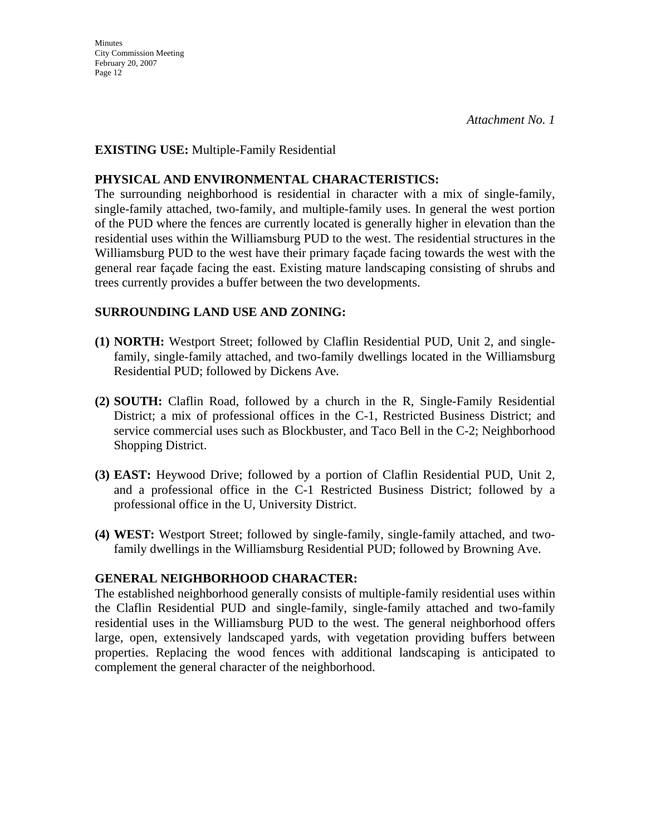**Minutes** City Commission Meeting February 20, 2007 Page 12

### **EXISTING USE:** Multiple-Family Residential

#### **PHYSICAL AND ENVIRONMENTAL CHARACTERISTICS:**

The surrounding neighborhood is residential in character with a mix of single-family, single-family attached, two-family, and multiple-family uses. In general the west portion of the PUD where the fences are currently located is generally higher in elevation than the residential uses within the Williamsburg PUD to the west. The residential structures in the Williamsburg PUD to the west have their primary façade facing towards the west with the general rear façade facing the east. Existing mature landscaping consisting of shrubs and trees currently provides a buffer between the two developments.

### **SURROUNDING LAND USE AND ZONING:**

- **(1) NORTH:** Westport Street; followed by Claflin Residential PUD, Unit 2, and singlefamily, single-family attached, and two-family dwellings located in the Williamsburg Residential PUD; followed by Dickens Ave.
- **(2) SOUTH:** Claflin Road, followed by a church in the R, Single-Family Residential District; a mix of professional offices in the C-1, Restricted Business District; and service commercial uses such as Blockbuster, and Taco Bell in the C-2; Neighborhood Shopping District.
- **(3) EAST:** Heywood Drive; followed by a portion of Claflin Residential PUD, Unit 2, and a professional office in the C-1 Restricted Business District; followed by a professional office in the U, University District.
- **(4) WEST:** Westport Street; followed by single-family, single-family attached, and twofamily dwellings in the Williamsburg Residential PUD; followed by Browning Ave.

### **GENERAL NEIGHBORHOOD CHARACTER:**

The established neighborhood generally consists of multiple-family residential uses within the Claflin Residential PUD and single-family, single-family attached and two-family residential uses in the Williamsburg PUD to the west. The general neighborhood offers large, open, extensively landscaped yards, with vegetation providing buffers between properties. Replacing the wood fences with additional landscaping is anticipated to complement the general character of the neighborhood.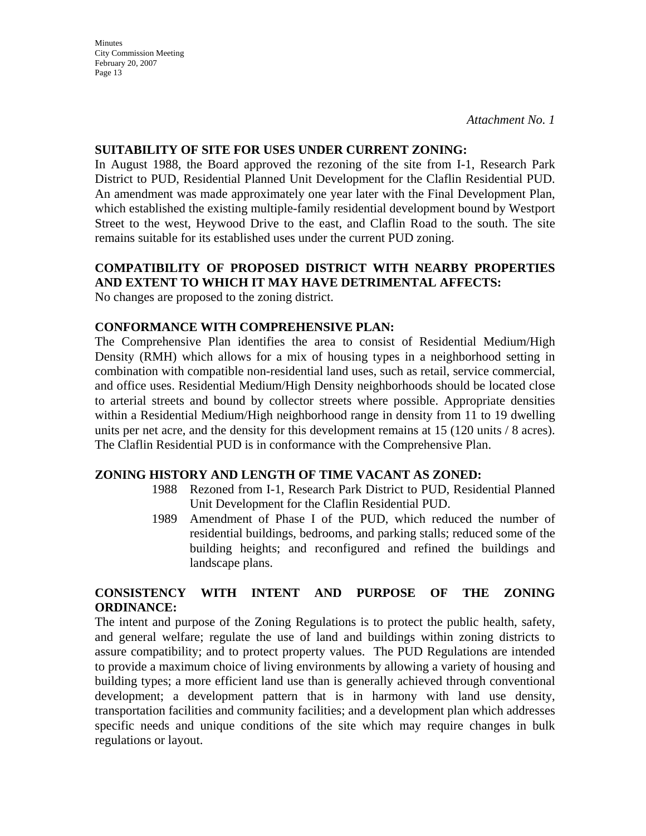**Minutes** City Commission Meeting February 20, 2007 Page 13

*Attachment No. 1* 

#### **SUITABILITY OF SITE FOR USES UNDER CURRENT ZONING:**

In August 1988, the Board approved the rezoning of the site from I-1, Research Park District to PUD, Residential Planned Unit Development for the Claflin Residential PUD. An amendment was made approximately one year later with the Final Development Plan, which established the existing multiple-family residential development bound by Westport Street to the west, Heywood Drive to the east, and Claflin Road to the south. The site remains suitable for its established uses under the current PUD zoning.

### **COMPATIBILITY OF PROPOSED DISTRICT WITH NEARBY PROPERTIES AND EXTENT TO WHICH IT MAY HAVE DETRIMENTAL AFFECTS:**

No changes are proposed to the zoning district.

#### **CONFORMANCE WITH COMPREHENSIVE PLAN:**

The Comprehensive Plan identifies the area to consist of Residential Medium/High Density (RMH) which allows for a mix of housing types in a neighborhood setting in combination with compatible non-residential land uses, such as retail, service commercial, and office uses. Residential Medium/High Density neighborhoods should be located close to arterial streets and bound by collector streets where possible. Appropriate densities within a Residential Medium/High neighborhood range in density from 11 to 19 dwelling units per net acre, and the density for this development remains at 15 (120 units / 8 acres). The Claflin Residential PUD is in conformance with the Comprehensive Plan.

#### **ZONING HISTORY AND LENGTH OF TIME VACANT AS ZONED:**

- 1988 Rezoned from I-1, Research Park District to PUD, Residential Planned Unit Development for the Claflin Residential PUD.
- 1989 Amendment of Phase I of the PUD, which reduced the number of residential buildings, bedrooms, and parking stalls; reduced some of the building heights; and reconfigured and refined the buildings and landscape plans.

### **CONSISTENCY WITH INTENT AND PURPOSE OF THE ZONING ORDINANCE:**

The intent and purpose of the Zoning Regulations is to protect the public health, safety, and general welfare; regulate the use of land and buildings within zoning districts to assure compatibility; and to protect property values. The PUD Regulations are intended to provide a maximum choice of living environments by allowing a variety of housing and building types; a more efficient land use than is generally achieved through conventional development; a development pattern that is in harmony with land use density, transportation facilities and community facilities; and a development plan which addresses specific needs and unique conditions of the site which may require changes in bulk regulations or layout.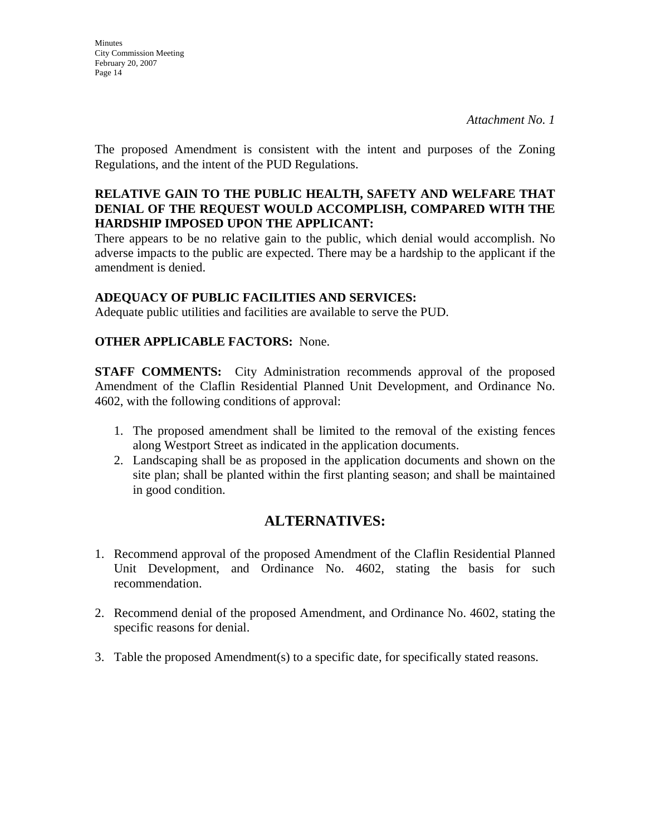**Minutes** City Commission Meeting February 20, 2007 Page 14

The proposed Amendment is consistent with the intent and purposes of the Zoning Regulations, and the intent of the PUD Regulations.

### **RELATIVE GAIN TO THE PUBLIC HEALTH, SAFETY AND WELFARE THAT DENIAL OF THE REQUEST WOULD ACCOMPLISH, COMPARED WITH THE HARDSHIP IMPOSED UPON THE APPLICANT:**

There appears to be no relative gain to the public, which denial would accomplish. No adverse impacts to the public are expected. There may be a hardship to the applicant if the amendment is denied.

### **ADEQUACY OF PUBLIC FACILITIES AND SERVICES:**

Adequate public utilities and facilities are available to serve the PUD.

### **OTHER APPLICABLE FACTORS:** None.

**STAFF COMMENTS:** City Administration recommends approval of the proposed Amendment of the Claflin Residential Planned Unit Development, and Ordinance No. 4602, with the following conditions of approval:

- 1. The proposed amendment shall be limited to the removal of the existing fences along Westport Street as indicated in the application documents.
- 2. Landscaping shall be as proposed in the application documents and shown on the site plan; shall be planted within the first planting season; and shall be maintained in good condition.

# **ALTERNATIVES:**

- 1. Recommend approval of the proposed Amendment of the Claflin Residential Planned Unit Development, and Ordinance No. 4602, stating the basis for such recommendation.
- 2. Recommend denial of the proposed Amendment, and Ordinance No. 4602, stating the specific reasons for denial.
- 3. Table the proposed Amendment(s) to a specific date, for specifically stated reasons.